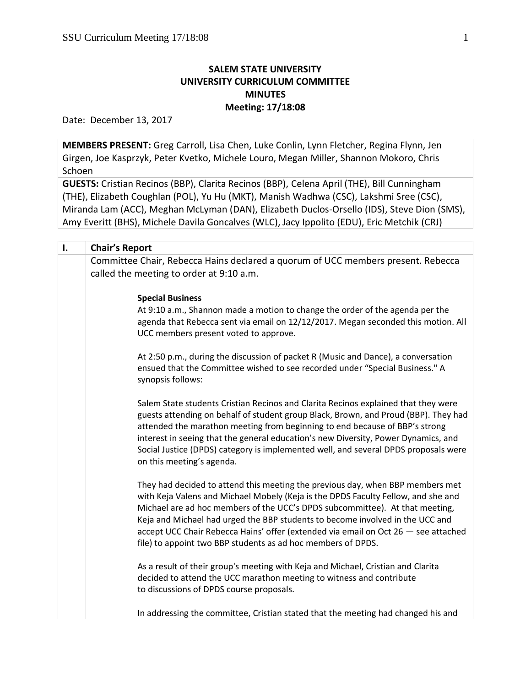# **SALEM STATE UNIVERSITY UNIVERSITY CURRICULUM COMMITTEE MINUTES Meeting: 17/18:08**

Date: December 13, 2017

**MEMBERS PRESENT:** Greg Carroll, Lisa Chen, Luke Conlin, Lynn Fletcher, Regina Flynn, Jen Girgen, Joe Kasprzyk, Peter Kvetko, Michele Louro, Megan Miller, Shannon Mokoro, Chris Schoen

**GUESTS:** Cristian Recinos (BBP), Clarita Recinos (BBP), Celena April (THE), Bill Cunningham (THE), Elizabeth Coughlan (POL), Yu Hu (MKT), Manish Wadhwa (CSC), Lakshmi Sree (CSC), Miranda Lam (ACC), Meghan McLyman (DAN), Elizabeth Duclos-Orsello (IDS), Steve Dion (SMS), Amy Everitt (BHS), Michele Davila Goncalves (WLC), Jacy Ippolito (EDU), Eric Metchik (CRJ)

| I. | <b>Chair's Report</b>                                                                                                                                                                                                                                                                                                                                                                                                                                                                      |
|----|--------------------------------------------------------------------------------------------------------------------------------------------------------------------------------------------------------------------------------------------------------------------------------------------------------------------------------------------------------------------------------------------------------------------------------------------------------------------------------------------|
|    | Committee Chair, Rebecca Hains declared a quorum of UCC members present. Rebecca<br>called the meeting to order at 9:10 a.m.                                                                                                                                                                                                                                                                                                                                                               |
|    | <b>Special Business</b><br>At 9:10 a.m., Shannon made a motion to change the order of the agenda per the<br>agenda that Rebecca sent via email on 12/12/2017. Megan seconded this motion. All<br>UCC members present voted to approve.                                                                                                                                                                                                                                                     |
|    | At 2:50 p.m., during the discussion of packet R (Music and Dance), a conversation<br>ensued that the Committee wished to see recorded under "Special Business." A<br>synopsis follows:                                                                                                                                                                                                                                                                                                     |
|    | Salem State students Cristian Recinos and Clarita Recinos explained that they were<br>guests attending on behalf of student group Black, Brown, and Proud (BBP). They had<br>attended the marathon meeting from beginning to end because of BBP's strong<br>interest in seeing that the general education's new Diversity, Power Dynamics, and<br>Social Justice (DPDS) category is implemented well, and several DPDS proposals were<br>on this meeting's agenda.                         |
|    | They had decided to attend this meeting the previous day, when BBP members met<br>with Keja Valens and Michael Mobely (Keja is the DPDS Faculty Fellow, and she and<br>Michael are ad hoc members of the UCC's DPDS subcommittee). At that meeting,<br>Keja and Michael had urged the BBP students to become involved in the UCC and<br>accept UCC Chair Rebecca Hains' offer (extended via email on Oct 26 - see attached<br>file) to appoint two BBP students as ad hoc members of DPDS. |
|    | As a result of their group's meeting with Keja and Michael, Cristian and Clarita<br>decided to attend the UCC marathon meeting to witness and contribute<br>to discussions of DPDS course proposals.                                                                                                                                                                                                                                                                                       |
|    | In addressing the committee, Cristian stated that the meeting had changed his and                                                                                                                                                                                                                                                                                                                                                                                                          |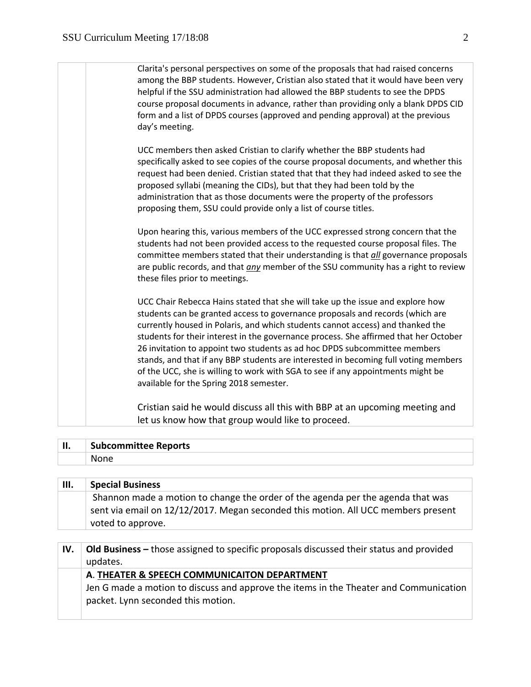| Clarita's personal perspectives on some of the proposals that had raised concerns  |
|------------------------------------------------------------------------------------|
| among the BBP students. However, Cristian also stated that it would have been very |
| helpful if the SSU administration had allowed the BBP students to see the DPDS     |
| course proposal documents in advance, rather than providing only a blank DPDS CID  |
| form and a list of DPDS courses (approved and pending approval) at the previous    |
| day's meeting.                                                                     |

UCC members then asked Cristian to clarify whether the BBP students had specifically asked to see copies of the course proposal documents, and whether this request had been denied. Cristian stated that that they had indeed asked to see the proposed syllabi (meaning the CIDs), but that they had been told by the administration that as those documents were the property of the professors proposing them, SSU could provide only a list of course titles.

Upon hearing this, various members of the UCC expressed strong concern that the students had not been provided access to the requested course proposal files. The committee members stated that their understanding is that *all* governance proposals are public records, and that *any* member of the SSU community has a right to review these files prior to meetings.

UCC Chair Rebecca Hains stated that she will take up the issue and explore how students can be granted access to governance proposals and records (which are currently housed in Polaris, and which students cannot access) and thanked the students for their interest in the governance process. She affirmed that her October 26 invitation to appoint two students as ad hoc DPDS subcommittee members stands, and that if any BBP students are interested in becoming full voting members of the UCC, she is willing to work with SGA to see if any appointments might be available for the Spring 2018 semester.

Cristian said he would discuss all this with BBP at an upcoming meeting and let us know how that group would like to proceed.

| ш<br> | <b>Subcommittee Reports</b> |
|-------|-----------------------------|
|       | None                        |

| Ш. | <b>Special Business</b>                                                           |
|----|-----------------------------------------------------------------------------------|
|    | Shannon made a motion to change the order of the agenda per the agenda that was   |
|    | sent via email on 12/12/2017. Megan seconded this motion. All UCC members present |
|    | voted to approve.                                                                 |
|    |                                                                                   |

| IV. | <b>Old Business</b> – those assigned to specific proposals discussed their status and provided |
|-----|------------------------------------------------------------------------------------------------|
|     | updates.                                                                                       |
|     | A. THEATER & SPEECH COMMUNICAITON DEPARTMENT                                                   |
|     | Jen G made a motion to discuss and approve the items in the Theater and Communication          |
|     | packet. Lynn seconded this motion.                                                             |
|     |                                                                                                |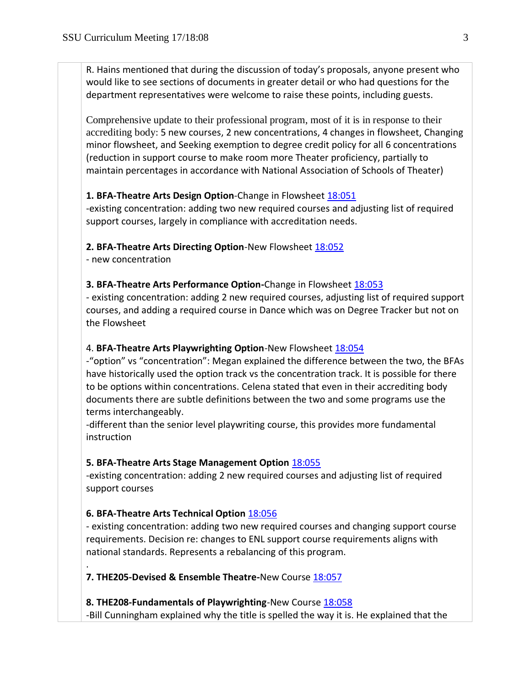R. Hains mentioned that during the discussion of today's proposals, anyone present who would like to see sections of documents in greater detail or who had questions for the department representatives were welcome to raise these points, including guests.

Comprehensive update to their professional program, most of it is in response to their accrediting body: 5 new courses, 2 new concentrations, 4 changes in flowsheet, Changing minor flowsheet, and Seeking exemption to degree credit policy for all 6 concentrations (reduction in support course to make room more Theater proficiency, partially to maintain percentages in accordance with National Association of Schools of Theater)

# **1. BFA-Theatre Arts Design Option**-Change in Flowsheet [18:051](https://polaris.salemstate.edu/governance/?trackingNum=18:051&search=all)

-existing concentration: adding two new required courses and adjusting list of required support courses, largely in compliance with accreditation needs.

# **2. BFA-Theatre Arts Directing Option**-New Flowsheet [18:052](https://polaris.salemstate.edu/governance/?trackingNum=18:052&search=all)

- new concentration

# **3. BFA-Theatre Arts Performance Option-Change in Flowsheet [18:053](https://polaris.salemstate.edu/governance/?trackingNum=18:053&search=all)**

- existing concentration: adding 2 new required courses, adjusting list of required support courses, and adding a required course in Dance which was on Degree Tracker but not on the Flowsheet

# 4. **BFA-Theatre Arts Playwrighting Option**-New Flowsheet [18:054](https://polaris.salemstate.edu/governance/?trackingNum=18:054&search=all)

-"option" vs "concentration": Megan explained the difference between the two, the BFAs have historically used the option track vs the concentration track. It is possible for there to be options within concentrations. Celena stated that even in their accrediting body documents there are subtle definitions between the two and some programs use the terms interchangeably.

-different than the senior level playwriting course, this provides more fundamental instruction

# **5. BFA-Theatre Arts Stage Management Option** [18:055](https://polaris.salemstate.edu/governance/?trackingNum=18:055&search=all)

-existing concentration: adding 2 new required courses and adjusting list of required support courses

# **6. BFA-Theatre Arts Technical Option** [18:056](https://polaris.salemstate.edu/governance/?trackingNum=18:056&search=all)

- existing concentration: adding two new required courses and changing support course requirements. Decision re: changes to ENL support course requirements aligns with national standards. Represents a rebalancing of this program.

. [18:056](https://polaris.salemstate.edu/governance/?trackingNum=18:056&search=all). 18:056. 18:056. 18:056. 18:056. 18:056. 18:056. 18:056. 18:056. 18:056. 18:056. 18:056. 18:056. 18:0

**7. THE205-Devised & Ensemble Theatre-**New Course [18:057](https://polaris.salemstate.edu/governance/?trackingNum=18:057&search=all)

# **8. THE208-Fundamentals of Playwrighting**-New Course [18:058](https://polaris.salemstate.edu/governance/?trackingNum=18:058&search=all) -Bill Cunningham explained why the title is spelled the way it is. He explained that the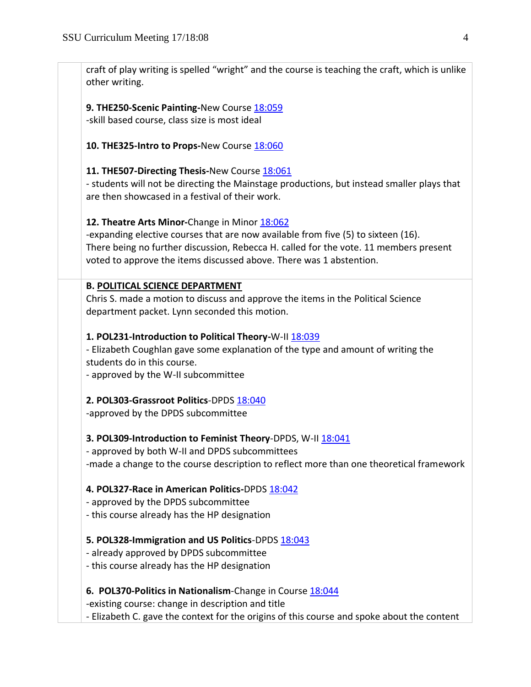craft of play writing is spelled "wright" and the course is teaching the craft, which is unlike other writing.

**9. THE250-Scenic Painting-**New Course [18:059](https://polaris.salemstate.edu/governance/?trackingNum=18:059&search=all) -skill based course, class size is most ideal

**10. THE325-Intro to Props-**New Course [18:060](https://polaris.salemstate.edu/governance/?trackingNum=18:060&search=all)

# **11. THE507-Directing Thesis-**New Course [18:061](https://polaris.salemstate.edu/governance/?trackingNum=18:061&search=all)

- students will not be directing the Mainstage productions, but instead smaller plays that are then showcased in a festival of their work.

# **12. Theatre Arts Minor-**Change in Minor [18:062](https://polaris.salemstate.edu/governance/?trackingNum=18:062&search=all)

-expanding elective courses that are now available from five (5) to sixteen (16). There being no further discussion, Rebecca H. called for the vote. 11 members present voted to approve the items discussed above. There was 1 abstention.

# **B. POLITICAL SCIENCE DEPARTMENT**

Chris S. made a motion to discuss and approve the items in the Political Science department packet. Lynn seconded this motion.

# **1. POL231-Introduction to Political Theory-**W-II [18:039](https://polaris.salemstate.edu/governance/?trackingNum=18:039&search=all)

- Elizabeth Coughlan gave some explanation of the type and amount of writing the students do in this course.

- approved by the W-II subcommittee

## **2. POL303-Grassroot Politics-DPD[S 18:040](https://polaris.salemstate.edu/governance/?trackingNum=18:040&search=all)**

-approved by the DPDS subcommittee

## **3. POL309-Introduction to Feminist Theory**-DPDS, W-II [18:041](https://polaris.salemstate.edu/governance/?trackingNum=18:041&search=all)

- approved by both W-II and DPDS subcommittees -made a change to the course description to reflect more than one theoretical framework

## **4. POL327-Race in American Politics-**DPDS [18:042](https://polaris.salemstate.edu/governance/?trackingNum=18:042&search=all)

- approved by the DPDS subcommittee
- this course already has the HP designation

# **5. POL328-Immigration and US Politics**-DPDS [18:043](https://polaris.salemstate.edu/governance/?trackingNum=18:043&search=all)

- already approved by DPDS subcommittee
- this course already has the HP designation

# **6. POL370-Politics in Nationalism-Change in Course [18:044](https://polaris.salemstate.edu/governance/?trackingNum=18:044&search=all)**

-existing course: change in description and title

- Elizabeth C. gave the context for the origins of this course and spoke about the content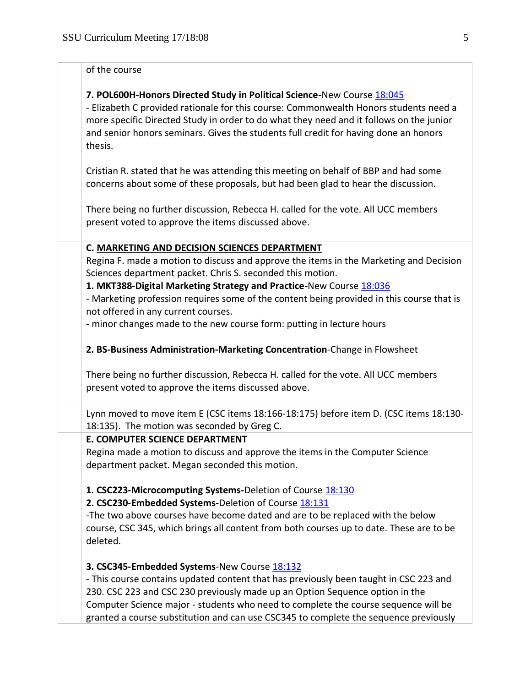### of the course

## **7. POL600H-Honors Directed Study in Political Science-**New Course [18:045](https://polaris.salemstate.edu/governance/?trackingNum=18:045&search=all)

- Elizabeth C provided rationale for this course: Commonwealth Honors students need a more specific Directed Study in order to do what they need and it follows on the junior and senior honors seminars. Gives the students full credit for having done an honors thesis.

Cristian R. stated that he was attending this meeting on behalf of BBP and had some concerns about some of these proposals, but had been glad to hear the discussion.

There being no further discussion, Rebecca H. called for the vote. All UCC members present voted to approve the items discussed above.

### **C. MARKETING AND DECISION SCIENCES DEPARTMENT**

Regina F. made a motion to discuss and approve the items in the Marketing and Decision Sciences department packet. Chris S. seconded this motion.

**1. MKT388-Digital Marketing Strategy and Practice-New Course [18:036](https://polaris.salemstate.edu/governance/?trackingNum=18:036&search=all)** 

- Marketing profession requires some of the content being provided in this course that is not offered in any current courses.

- minor changes made to the new course form: putting in lecture hours

**2. BS-Business Administration-Marketing Concentration-Change in Flowsheet** 

There being no further discussion, Rebecca H. called for the vote. All UCC members present voted to approve the items discussed above.

Lynn moved to move item E (CSC items 18:166-18:175) before item D. (CSC items 18:130- 18:135). The motion was seconded by Greg C.

#### **E. COMPUTER SCIENCE DEPARTMENT**

Regina made a motion to discuss and approve the items in the Computer Science department packet. Megan seconded this motion.

## **1. CSC223-Microcomputing Systems-Deletion of Cours[e 18:130](https://polaris.salemstate.edu/governance/?trackingNum=18:130&search=all)**

**2. CSC230-Embedded Systems-Deletion of Cours[e 18:131](https://polaris.salemstate.edu/governance/?trackingNum=18:131&search=all)** 

-The two above courses have become dated and are to be replaced with the below course, CSC 345, which brings all content from both courses up to date. These are to be deleted.

## **3. CSC345-Embedded Systems-New Course [18:132](https://polaris.salemstate.edu/governance/?trackingNum=18:132&search=all)**

- This course contains updated content that has previously been taught in CSC 223 and 230. CSC 223 and CSC 230 previously made up an Option Sequence option in the Computer Science major - students who need to complete the course sequence will be granted a course substitution and can use CSC345 to complete the sequence previously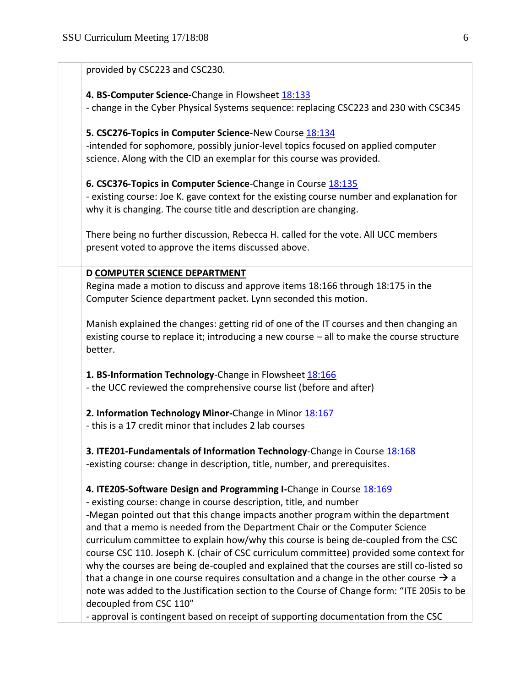| provided by CSC223 and CSC230.                          |                                                                                                                                                                                       |
|---------------------------------------------------------|---------------------------------------------------------------------------------------------------------------------------------------------------------------------------------------|
|                                                         |                                                                                                                                                                                       |
| 4. BS-Computer Science-Change in Flowsheet 18:133       |                                                                                                                                                                                       |
|                                                         | - change in the Cyber Physical Systems sequence: replacing CSC223 and 230 with CSC345                                                                                                 |
| 5. CSC276-Topics in Computer Science-New Course 18:134  |                                                                                                                                                                                       |
|                                                         | -intended for sophomore, possibly junior-level topics focused on applied computer<br>science. Along with the CID an exemplar for this course was provided.                            |
|                                                         | 6. CSC376-Topics in Computer Science-Change in Course 18:135                                                                                                                          |
|                                                         | - existing course: Joe K. gave context for the existing course number and explanation for<br>why it is changing. The course title and description are changing.                       |
|                                                         | There being no further discussion, Rebecca H. called for the vote. All UCC members                                                                                                    |
| present voted to approve the items discussed above.     |                                                                                                                                                                                       |
| D COMPUTER SCIENCE DEPARTMENT                           |                                                                                                                                                                                       |
|                                                         | Regina made a motion to discuss and approve items 18:166 through 18:175 in the<br>Computer Science department packet. Lynn seconded this motion.                                      |
| better.                                                 | Manish explained the changes: getting rid of one of the IT courses and then changing an<br>existing course to replace it; introducing a new course - all to make the course structure |
| 1. BS-Information Technology-Change in Flowsheet 18:166 | - the UCC reviewed the comprehensive course list (before and after)                                                                                                                   |
| 2. Information Technology Minor-Change in Minor 18:167  |                                                                                                                                                                                       |
| - this is a 17 credit minor that includes 2 lab courses |                                                                                                                                                                                       |
|                                                         | 3. ITE201-Fundamentals of Information Technology-Change in Course 18:168<br>-existing course: change in description, title, number, and prerequisites.                                |
|                                                         |                                                                                                                                                                                       |
|                                                         | 4. ITE205-Software Design and Programming I-Change in Course 18:169<br>- existing course: change in course description, title, and number                                             |
|                                                         | -Megan pointed out that this change impacts another program within the department                                                                                                     |
|                                                         | and that a memo is needed from the Department Chair or the Computer Science<br>curriculum committee to explain how/why this course is being de-coupled from the CSC                   |
|                                                         | course CSC 110. Joseph K. (chair of CSC curriculum committee) provided some context for                                                                                               |
|                                                         | why the courses are being de-coupled and explained that the courses are still co-listed so                                                                                            |
|                                                         | that a change in one course requires consultation and a change in the other course $\rightarrow$ a                                                                                    |
|                                                         |                                                                                                                                                                                       |
| decoupled from CSC 110"                                 | note was added to the Justification section to the Course of Change form: "ITE 205is to be                                                                                            |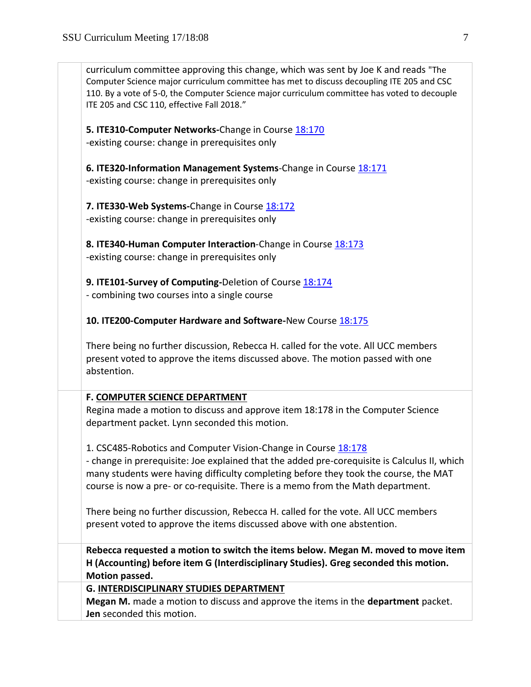| curriculum committee approving this change, which was sent by Joe K and reads "The<br>Computer Science major curriculum committee has met to discuss decoupling ITE 205 and CSC<br>110. By a vote of 5-0, the Computer Science major curriculum committee has voted to decouple<br>ITE 205 and CSC 110, effective Fall 2018."             |  |
|-------------------------------------------------------------------------------------------------------------------------------------------------------------------------------------------------------------------------------------------------------------------------------------------------------------------------------------------|--|
| 5. ITE310-Computer Networks-Change in Course 18:170<br>-existing course: change in prerequisites only                                                                                                                                                                                                                                     |  |
| 6. ITE320-Information Management Systems-Change in Course 18:171<br>-existing course: change in prerequisites only                                                                                                                                                                                                                        |  |
| 7. ITE330-Web Systems-Change in Course 18:172<br>-existing course: change in prerequisites only                                                                                                                                                                                                                                           |  |
| 8. ITE340-Human Computer Interaction-Change in Course 18:173<br>-existing course: change in prerequisites only                                                                                                                                                                                                                            |  |
| 9. ITE101-Survey of Computing-Deletion of Course 18:174<br>- combining two courses into a single course                                                                                                                                                                                                                                   |  |
| 10. ITE200-Computer Hardware and Software-New Course 18:175                                                                                                                                                                                                                                                                               |  |
| There being no further discussion, Rebecca H. called for the vote. All UCC members<br>present voted to approve the items discussed above. The motion passed with one<br>abstention.                                                                                                                                                       |  |
| F. COMPUTER SCIENCE DEPARTMENT                                                                                                                                                                                                                                                                                                            |  |
| Regina made a motion to discuss and approve item 18:178 in the Computer Science<br>department packet. Lynn seconded this motion.                                                                                                                                                                                                          |  |
| 1. CSC485-Robotics and Computer Vision-Change in Course 18:178<br>- change in prerequisite: Joe explained that the added pre-corequisite is Calculus II, which<br>many students were having difficulty completing before they took the course, the MAT<br>course is now a pre- or co-requisite. There is a memo from the Math department. |  |
| There being no further discussion, Rebecca H. called for the vote. All UCC members<br>present voted to approve the items discussed above with one abstention.                                                                                                                                                                             |  |
| Rebecca requested a motion to switch the items below. Megan M. moved to move item<br>H (Accounting) before item G (Interdisciplinary Studies). Greg seconded this motion.<br>Motion passed.                                                                                                                                               |  |
| <b>G. INTERDISCIPLINARY STUDIES DEPARTMENT</b><br>Megan M. made a motion to discuss and approve the items in the department packet.<br>Jen seconded this motion.                                                                                                                                                                          |  |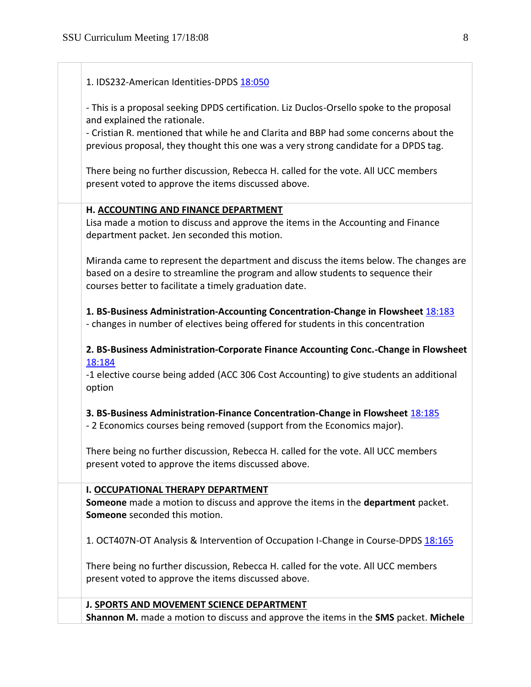| 1. IDS232-American Identities-DPDS 18:050                                                                                                                                                                                           |
|-------------------------------------------------------------------------------------------------------------------------------------------------------------------------------------------------------------------------------------|
| - This is a proposal seeking DPDS certification. Liz Duclos-Orsello spoke to the proposal<br>and explained the rationale.                                                                                                           |
| - Cristian R. mentioned that while he and Clarita and BBP had some concerns about the<br>previous proposal, they thought this one was a very strong candidate for a DPDS tag.                                                       |
| There being no further discussion, Rebecca H. called for the vote. All UCC members<br>present voted to approve the items discussed above.                                                                                           |
| H. ACCOUNTING AND FINANCE DEPARTMENT                                                                                                                                                                                                |
| Lisa made a motion to discuss and approve the items in the Accounting and Finance<br>department packet. Jen seconded this motion.                                                                                                   |
| Miranda came to represent the department and discuss the items below. The changes are<br>based on a desire to streamline the program and allow students to sequence their<br>courses better to facilitate a timely graduation date. |
| 1. BS-Business Administration-Accounting Concentration-Change in Flowsheet 18:183<br>- changes in number of electives being offered for students in this concentration                                                              |
| 2. BS-Business Administration-Corporate Finance Accounting Conc.-Change in Flowsheet<br>18:184                                                                                                                                      |
| -1 elective course being added (ACC 306 Cost Accounting) to give students an additional<br>option                                                                                                                                   |
| 3. BS-Business Administration-Finance Concentration-Change in Flowsheet 18:185<br>- 2 Economics courses being removed (support from the Economics major).                                                                           |
| There being no further discussion, Rebecca H. called for the vote. All UCC members<br>present voted to approve the items discussed above.                                                                                           |
| I. OCCUPATIONAL THERAPY DEPARTMENT<br>Someone made a motion to discuss and approve the items in the department packet.<br>Someone seconded this motion.                                                                             |
| 1. OCT407N-OT Analysis & Intervention of Occupation I-Change in Course-DPDS 18:165                                                                                                                                                  |
| There being no further discussion, Rebecca H. called for the vote. All UCC members<br>present voted to approve the items discussed above.                                                                                           |
| J. SPORTS AND MOVEMENT SCIENCE DEPARTMENT                                                                                                                                                                                           |
| Shannon M. made a motion to discuss and approve the items in the SMS packet. Michele                                                                                                                                                |
|                                                                                                                                                                                                                                     |

 $\overline{\phantom{0}}$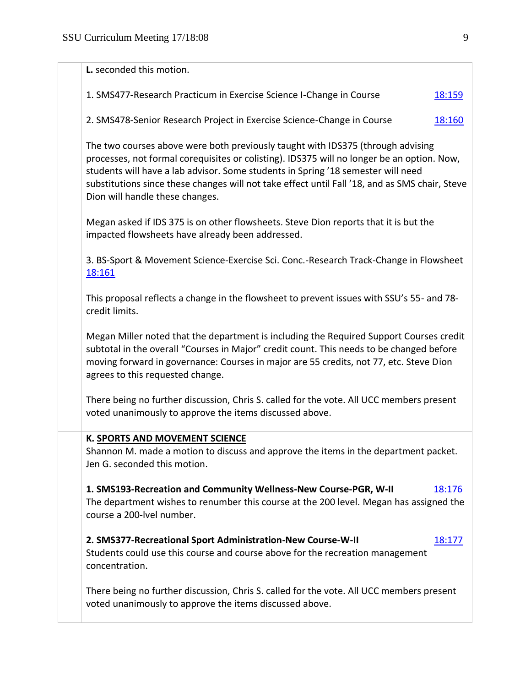| L. seconded this motion.                                                                                                                                                                                                                                                                                                                                                                               |
|--------------------------------------------------------------------------------------------------------------------------------------------------------------------------------------------------------------------------------------------------------------------------------------------------------------------------------------------------------------------------------------------------------|
| 1. SMS477-Research Practicum in Exercise Science I-Change in Course<br>18:159                                                                                                                                                                                                                                                                                                                          |
| 2. SMS478-Senior Research Project in Exercise Science-Change in Course<br>18:160                                                                                                                                                                                                                                                                                                                       |
| The two courses above were both previously taught with IDS375 (through advising<br>processes, not formal corequisites or colisting). IDS375 will no longer be an option. Now,<br>students will have a lab advisor. Some students in Spring '18 semester will need<br>substitutions since these changes will not take effect until Fall '18, and as SMS chair, Steve<br>Dion will handle these changes. |
| Megan asked if IDS 375 is on other flowsheets. Steve Dion reports that it is but the<br>impacted flowsheets have already been addressed.                                                                                                                                                                                                                                                               |
| 3. BS-Sport & Movement Science-Exercise Sci. Conc.-Research Track-Change in Flowsheet<br>18:161                                                                                                                                                                                                                                                                                                        |
| This proposal reflects a change in the flowsheet to prevent issues with SSU's 55- and 78-<br>credit limits.                                                                                                                                                                                                                                                                                            |
| Megan Miller noted that the department is including the Required Support Courses credit<br>subtotal in the overall "Courses in Major" credit count. This needs to be changed before<br>moving forward in governance: Courses in major are 55 credits, not 77, etc. Steve Dion<br>agrees to this requested change.                                                                                      |
| There being no further discussion, Chris S. called for the vote. All UCC members present<br>voted unanimously to approve the items discussed above.                                                                                                                                                                                                                                                    |
| K. SPORTS AND MOVEMENT SCIENCE<br>Shannon M. made a motion to discuss and approve the items in the department packet.<br>Jen G. seconded this motion.                                                                                                                                                                                                                                                  |
| 1. SMS193-Recreation and Community Wellness-New Course-PGR, W-II<br>18:176<br>The department wishes to renumber this course at the 200 level. Megan has assigned the<br>course a 200-lvel number.                                                                                                                                                                                                      |
| 2. SMS377-Recreational Sport Administration-New Course-W-II<br>18:177<br>Students could use this course and course above for the recreation management<br>concentration.                                                                                                                                                                                                                               |
| There being no further discussion, Chris S. called for the vote. All UCC members present<br>voted unanimously to approve the items discussed above.                                                                                                                                                                                                                                                    |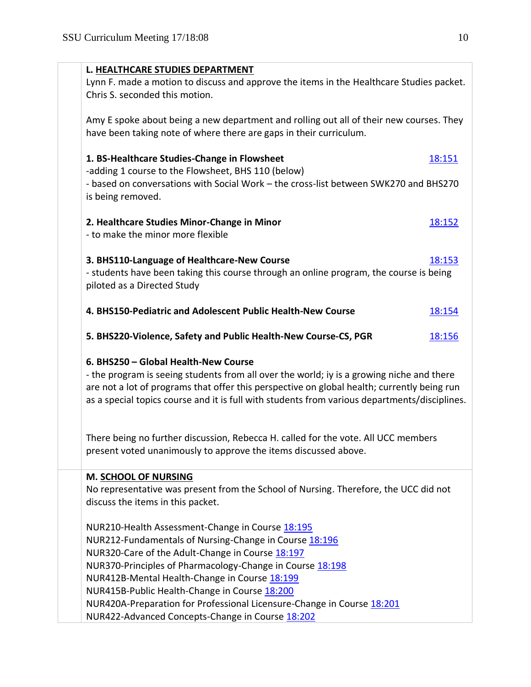| L. HEALTHCARE STUDIES DEPARTMENT                                                                                                                                                                                                                                                          |        |
|-------------------------------------------------------------------------------------------------------------------------------------------------------------------------------------------------------------------------------------------------------------------------------------------|--------|
| Lynn F. made a motion to discuss and approve the items in the Healthcare Studies packet.                                                                                                                                                                                                  |        |
| Chris S. seconded this motion.                                                                                                                                                                                                                                                            |        |
| Amy E spoke about being a new department and rolling out all of their new courses. They<br>have been taking note of where there are gaps in their curriculum.                                                                                                                             |        |
| 1. BS-Healthcare Studies-Change in Flowsheet<br>-adding 1 course to the Flowsheet, BHS 110 (below)                                                                                                                                                                                        | 18:151 |
| - based on conversations with Social Work - the cross-list between SWK270 and BHS270<br>is being removed.                                                                                                                                                                                 |        |
| 2. Healthcare Studies Minor-Change in Minor                                                                                                                                                                                                                                               | 18:152 |
| - to make the minor more flexible                                                                                                                                                                                                                                                         |        |
| 3. BHS110-Language of Healthcare-New Course                                                                                                                                                                                                                                               | 18:153 |
| - students have been taking this course through an online program, the course is being<br>piloted as a Directed Study                                                                                                                                                                     |        |
| 4. BHS150-Pediatric and Adolescent Public Health-New Course                                                                                                                                                                                                                               | 18:154 |
| 5. BHS220-Violence, Safety and Public Health-New Course-CS, PGR                                                                                                                                                                                                                           | 18:156 |
| 6. BHS250 - Global Health-New Course                                                                                                                                                                                                                                                      |        |
| - the program is seeing students from all over the world; iy is a growing niche and there<br>are not a lot of programs that offer this perspective on global health; currently being run<br>as a special topics course and it is full with students from various departments/disciplines. |        |
| There being no further discussion, Rebecca H. called for the vote. All UCC members<br>present voted unanimously to approve the items discussed above.                                                                                                                                     |        |
| M. SCHOOL OF NURSING<br>No representative was present from the School of Nursing. Therefore, the UCC did not<br>discuss the items in this packet.                                                                                                                                         |        |
| NUR210-Health Assessment-Change in Course 18:195                                                                                                                                                                                                                                          |        |
| NUR212-Fundamentals of Nursing-Change in Course 18:196                                                                                                                                                                                                                                    |        |
| NUR320-Care of the Adult-Change in Course 18:197<br>NUR370-Principles of Pharmacology-Change in Course 18:198                                                                                                                                                                             |        |
| NUR412B-Mental Health-Change in Course 18:199                                                                                                                                                                                                                                             |        |
| NUR415B-Public Health-Change in Course 18:200                                                                                                                                                                                                                                             |        |
| NUR420A-Preparation for Professional Licensure-Change in Course 18:201                                                                                                                                                                                                                    |        |

NUR422-Advanced Concepts-Change in Course [18:202](https://polaris.salemstate.edu/governance/?trackingNum=18:202&search=all)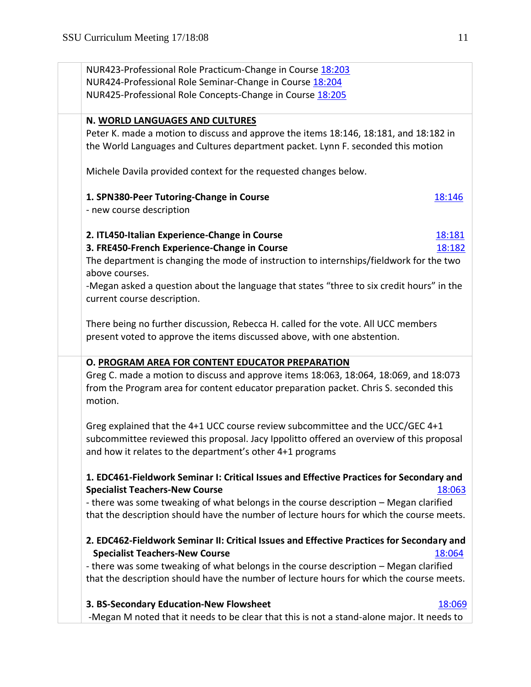| NUR423-Professional Role Practicum-Change in Course 18:203                                                                                                                                |        |
|-------------------------------------------------------------------------------------------------------------------------------------------------------------------------------------------|--------|
| NUR424-Professional Role Seminar-Change in Course 18:204                                                                                                                                  |        |
| NUR425-Professional Role Concepts-Change in Course 18:205                                                                                                                                 |        |
| N. WORLD LANGUAGES AND CULTURES                                                                                                                                                           |        |
| Peter K. made a motion to discuss and approve the items 18:146, 18:181, and 18:182 in                                                                                                     |        |
| the World Languages and Cultures department packet. Lynn F. seconded this motion                                                                                                          |        |
| Michele Davila provided context for the requested changes below.                                                                                                                          |        |
| 1. SPN380-Peer Tutoring-Change in Course                                                                                                                                                  | 18:146 |
| - new course description                                                                                                                                                                  |        |
| 2. ITL450-Italian Experience-Change in Course                                                                                                                                             | 18:181 |
| 3. FRE450-French Experience-Change in Course                                                                                                                                              | 18:182 |
| The department is changing the mode of instruction to internships/fieldwork for the two<br>above courses.                                                                                 |        |
| -Megan asked a question about the language that states "three to six credit hours" in the<br>current course description.                                                                  |        |
| There being no further discussion, Rebecca H. called for the vote. All UCC members<br>present voted to approve the items discussed above, with one abstention.                            |        |
|                                                                                                                                                                                           |        |
| O. PROGRAM AREA FOR CONTENT EDUCATOR PREPARATION                                                                                                                                          |        |
| Greg C. made a motion to discuss and approve items 18:063, 18:064, 18:069, and 18:073<br>from the Program area for content educator preparation packet. Chris S. seconded this<br>motion. |        |
| Greg explained that the 4+1 UCC course review subcommittee and the UCC/GEC 4+1                                                                                                            |        |
| subcommittee reviewed this proposal. Jacy Ippolitto offered an overview of this proposal                                                                                                  |        |
| and how it relates to the department's other 4+1 programs                                                                                                                                 |        |
| 1. EDC461-Fieldwork Seminar I: Critical Issues and Effective Practices for Secondary and                                                                                                  |        |
| <b>Specialist Teachers-New Course</b>                                                                                                                                                     | 18:063 |
| - there was some tweaking of what belongs in the course description - Megan clarified                                                                                                     |        |
| that the description should have the number of lecture hours for which the course meets.                                                                                                  |        |
| 2. EDC462-Fieldwork Seminar II: Critical Issues and Effective Practices for Secondary and                                                                                                 |        |
| <b>Specialist Teachers-New Course</b>                                                                                                                                                     | 18:064 |
| - there was some tweaking of what belongs in the course description - Megan clarified                                                                                                     |        |
| that the description should have the number of lecture hours for which the course meets.                                                                                                  |        |
| 3. BS-Secondary Education-New Flowsheet                                                                                                                                                   | 18:069 |
|                                                                                                                                                                                           |        |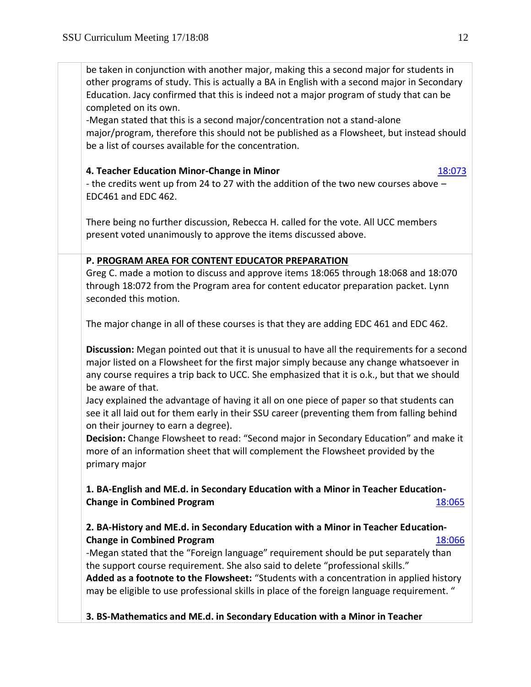be taken in conjunction with another major, making this a second major for students in other programs of study. This is actually a BA in English with a second major in Secondary Education. Jacy confirmed that this is indeed not a major program of study that can be completed on its own.

-Megan stated that this is a second major/concentration not a stand-alone major/program, therefore this should not be published as a Flowsheet, but instead should be a list of courses available for the concentration.

[18:069](https://polaris.salemstate.edu/governance/?trackingNum=18:069&search=all)

# **4. Teacher Education Minor-Change in Minor** [18:073](https://polaris.salemstate.edu/governance/?trackingNum=18:073&search=all)

- the credits went up from 24 to 27 with the addition of the two new courses above – EDC461 and EDC 462.

There being no further discussion, Rebecca H. called for the vote. All UCC members present voted unanimously to approve the items discussed above.

# **P. PROGRAM AREA FOR CONTENT EDUCATOR PREPARATION**

Greg C. made a motion to discuss and approve items 18:065 through 18:068 and 18:070 through 18:072 from the Program area for content educator preparation packet. Lynn seconded this motion.

The major change in all of these courses is that they are adding EDC 461 and EDC 462.

**Discussion:** Megan pointed out that it is unusual to have all the requirements for a second major listed on a Flowsheet for the first major simply because any change whatsoever in any course requires a trip back to UCC. She emphasized that it is o.k., but that we should be aware of that.

Jacy explained the advantage of having it all on one piece of paper so that students can see it all laid out for them early in their SSU career (preventing them from falling behind on their journey to earn a degree).

**Decision:** Change Flowsheet to read: "Second major in Secondary Education" and make it more of an information sheet that will complement the Flowsheet provided by the primary major

**1. BA-English and ME.d. in Secondary Education with a Minor in Teacher Education-Change in Combined Program** [18:065](https://polaris.salemstate.edu/governance/?trackingNum=18:065&search=all)

# **2. BA-History and ME.d. in Secondary Education with a Minor in Teacher Education-Change in Combined Program** [18:066](https://polaris.salemstate.edu/governance/?trackingNum=18:066&search=all)

-Megan stated that the "Foreign language" requirement should be put separately than the support course requirement. She also said to delete "professional skills." **Added as a footnote to the Flowsheet:** "Students with a concentration in applied history may be eligible to use professional skills in place of the foreign language requirement. "

**3. BS-Mathematics and ME.d. in Secondary Education with a Minor in Teacher**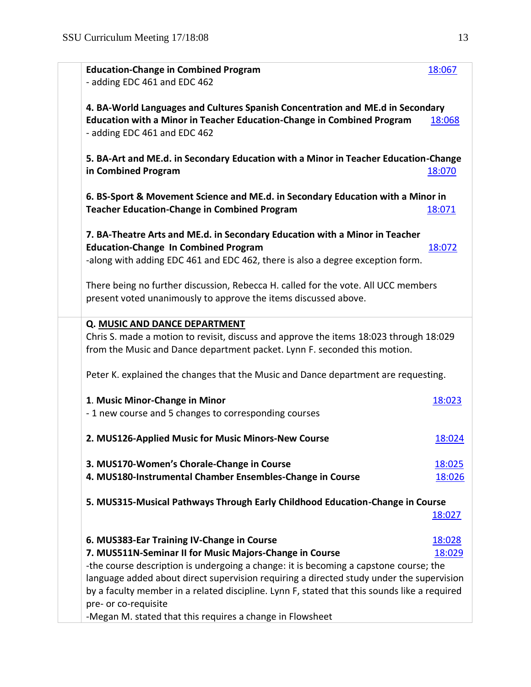| <b>Education-Change in Combined Program</b><br>- adding EDC 461 and EDC 462                                                                                                                                  | 18:067 |
|--------------------------------------------------------------------------------------------------------------------------------------------------------------------------------------------------------------|--------|
| 4. BA-World Languages and Cultures Spanish Concentration and ME.d in Secondary<br><b>Education with a Minor in Teacher Education-Change in Combined Program</b>                                              | 18:068 |
| - adding EDC 461 and EDC 462                                                                                                                                                                                 |        |
| 5. BA-Art and ME.d. in Secondary Education with a Minor in Teacher Education-Change<br>in Combined Program                                                                                                   | 18:070 |
| 6. BS-Sport & Movement Science and ME.d. in Secondary Education with a Minor in<br><b>Teacher Education-Change in Combined Program</b>                                                                       | 18:071 |
| 7. BA-Theatre Arts and ME.d. in Secondary Education with a Minor in Teacher<br><b>Education-Change In Combined Program</b><br>-along with adding EDC 461 and EDC 462, there is also a degree exception form. | 18:072 |
| There being no further discussion, Rebecca H. called for the vote. All UCC members<br>present voted unanimously to approve the items discussed above.                                                        |        |
| Q. MUSIC AND DANCE DEPARTMENT                                                                                                                                                                                |        |
| Chris S. made a motion to revisit, discuss and approve the items 18:023 through 18:029<br>from the Music and Dance department packet. Lynn F. seconded this motion.                                          |        |
| Peter K. explained the changes that the Music and Dance department are requesting.                                                                                                                           |        |
| 1. Music Minor-Change in Minor                                                                                                                                                                               | 18:023 |
| - 1 new course and 5 changes to corresponding courses                                                                                                                                                        |        |
| 2. MUS126-Applied Music for Music Minors-New Course                                                                                                                                                          | 18:024 |
| 3. MUS170-Women's Chorale-Change in Course                                                                                                                                                                   | 18:025 |
| 4. MUS180-Instrumental Chamber Ensembles-Change in Course                                                                                                                                                    | 18:026 |
| 5. MUS315-Musical Pathways Through Early Childhood Education-Change in Course                                                                                                                                |        |
|                                                                                                                                                                                                              | 18:027 |
| 6. MUS383-Ear Training IV-Change in Course                                                                                                                                                                   | 18:028 |
| 7. MUS511N-Seminar II for Music Majors-Change in Course                                                                                                                                                      | 18:029 |
| -the course description is undergoing a change: it is becoming a capstone course; the                                                                                                                        |        |
| language added about direct supervision requiring a directed study under the supervision<br>by a faculty member in a related discipline. Lynn F, stated that this sounds like a required                     |        |
| pre- or co-requisite                                                                                                                                                                                         |        |
| -Megan M. stated that this requires a change in Flowsheet                                                                                                                                                    |        |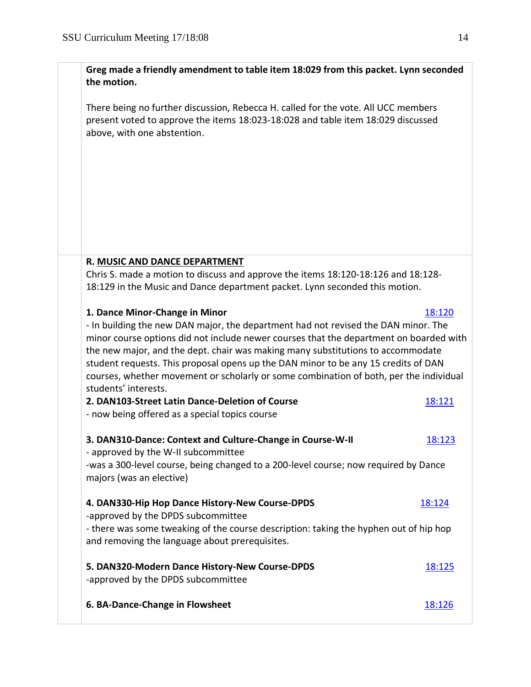**Greg made a friendly amendment to table item 18:029 from this packet. Lynn seconded the motion.**

There being no further discussion, Rebecca H. called for the vote. All UCC members present voted to approve the items 18:023-18:028 and table item 18:029 discussed above, with one abstention.

# **R. MUSIC AND DANCE DEPARTMENT**

Chris S. made a motion to discuss and approve the items 18:120-18:126 and 18:128- 18:129 in the Music and Dance department packet. Lynn seconded this motion.

# **1. Dance Minor-Change in Minor <b>[18:120](https://polaris.salemstate.edu/governance/?trackingNum=18:120&search=all)** 18:120

- In building the new DAN major, the department had not revised the DAN minor. The minor course options did not include newer courses that the department on boarded with the new major, and the dept. chair was making many substitutions to accommodate student requests. This proposal opens up the DAN minor to be any 15 credits of DAN courses, whether movement or scholarly or some combination of both, per the individual students' interests.

| 2. DAN103-Street Latin Dance-Deletion of Course<br>- now being offered as a special topics course                                                                                                                                | 18:121        |  |
|----------------------------------------------------------------------------------------------------------------------------------------------------------------------------------------------------------------------------------|---------------|--|
| 3. DAN310-Dance: Context and Culture-Change in Course-W-II<br>- approved by the W-II subcommittee<br>-was a 300-level course, being changed to a 200-level course; now required by Dance<br>majors (was an elective)             | 18:123        |  |
| 4. DAN330-Hip Hop Dance History-New Course-DPDS<br>-approved by the DPDS subcommittee<br>- there was some tweaking of the course description: taking the hyphen out of hip hop<br>and removing the language about prerequisites. | 18:124        |  |
| 5. DAN320-Modern Dance History-New Course-DPDS<br>-approved by the DPDS subcommittee                                                                                                                                             | <u>18:125</u> |  |
| 6. BA-Dance-Change in Flowsheet                                                                                                                                                                                                  | 18:126        |  |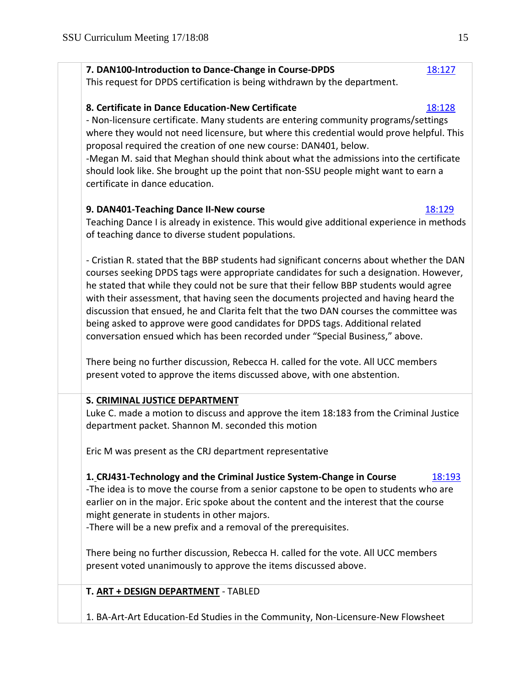# **7. DAN100-Introduction to Dance-Change in Course-DPDS** [18:127](https://polaris.salemstate.edu/governance/?trackingNum=18:127&search=all)

This request for DPDS certification is being withdrawn by the department.

# **8. Certificate in Dance Education-New Certificate** [18:128](https://polaris.salemstate.edu/governance/?trackingNum=18:128&search=all) 18:128

- Non-licensure certificate. Many students are entering community programs/settings where they would not need licensure, but where this credential would prove helpful. This proposal required the creation of one new course: DAN401, below.

-Megan M. said that Meghan should think about what the admissions into the certificate should look like. She brought up the point that non-SSU people might want to earn a certificate in dance education.

# **9. DAN401-Teaching Dance II-New course** [18:129](https://polaris.salemstate.edu/governance/?trackingNum=18:129&search=all)

Teaching Dance I is already in existence. This would give additional experience in methods of teaching dance to diverse student populations.

- Cristian R. stated that the BBP students had significant concerns about whether the DAN courses seeking DPDS tags were appropriate candidates for such a designation. However, he stated that while they could not be sure that their fellow BBP students would agree with their assessment, that having seen the documents projected and having heard the discussion that ensued, he and Clarita felt that the two DAN courses the committee was being asked to approve were good candidates for DPDS tags. Additional related conversation ensued which has been recorded under "Special Business," above.

There being no further discussion, Rebecca H. called for the vote. All UCC members present voted to approve the items discussed above, with one abstention.

# **S. CRIMINAL JUSTICE DEPARTMENT**

Luke C. made a motion to discuss and approve the item 18:183 from the Criminal Justice department packet. Shannon M. seconded this motion

Eric M was present as the CRJ department representative

# **1. CRJ431-Technology and the Criminal Justice System-Change in Course** [18:193](https://polaris.salemstate.edu/governance/?trackingNum=18:193&search=all)

-The idea is to move the course from a senior capstone to be open to students who are earlier on in the major. Eric spoke about the content and the interest that the course might generate in students in other majors.

-There will be a new prefix and a removal of the prerequisites.

There being no further discussion, Rebecca H. called for the vote. All UCC members present voted unanimously to approve the items discussed above.

**T. ART + DESIGN DEPARTMENT** - TABLED

1. BA-Art-Art Education-Ed Studies in the Community, Non-Licensure-New Flowsheet